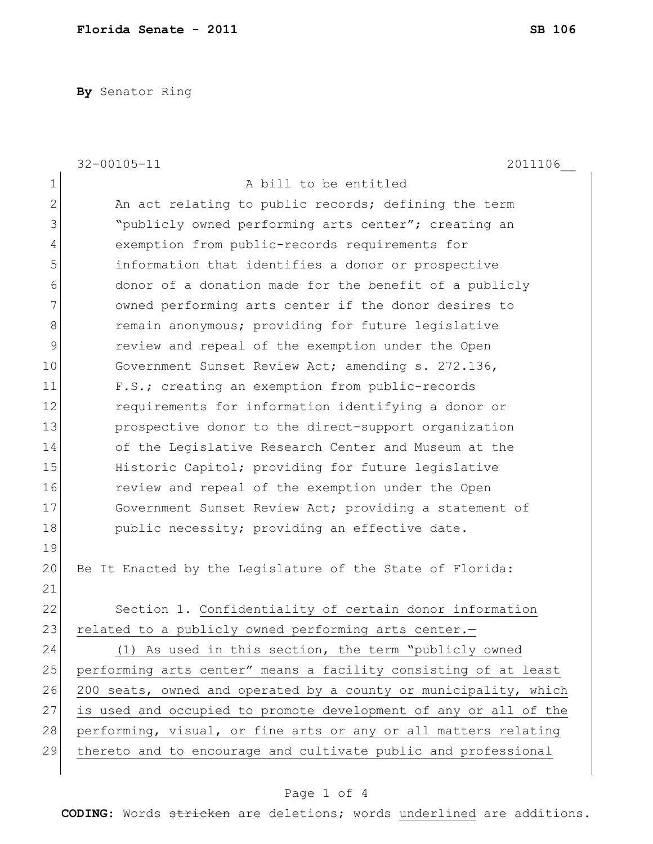**By** Senator Ring

|                | $32 - 00105 - 11$<br>2011106                                     |
|----------------|------------------------------------------------------------------|
| $\mathbf 1$    | A bill to be entitled                                            |
| $\overline{2}$ | An act relating to public records; defining the term             |
| 3              | "publicly owned performing arts center"; creating an             |
| 4              | exemption from public-records requirements for                   |
| 5              | information that identifies a donor or prospective               |
| 6              | donor of a donation made for the benefit of a publicly           |
| 7              | owned performing arts center if the donor desires to             |
| 8              | remain anonymous; providing for future legislative               |
| $\mathsf 9$    | review and repeal of the exemption under the Open                |
| 10             | Government Sunset Review Act; amending s. 272.136,               |
| 11             | F.S.; creating an exemption from public-records                  |
| 12             | requirements for information identifying a donor or              |
| 13             | prospective donor to the direct-support organization             |
| 14             | of the Legislative Research Center and Museum at the             |
| 15             | Historic Capitol; providing for future legislative               |
| 16             | review and repeal of the exemption under the Open                |
| 17             | Government Sunset Review Act; providing a statement of           |
| 18             | public necessity; providing an effective date.                   |
| 19             |                                                                  |
| 20             | Be It Enacted by the Legislature of the State of Florida:        |
| 21             |                                                                  |
| 22             | Section 1. Confidentiality of certain donor information          |
| 23             | related to a publicly owned performing arts center.-             |
| 24             | (1) As used in this section, the term "publicly owned            |
| 25             | performing arts center" means a facility consisting of at least  |
| 26             | 200 seats, owned and operated by a county or municipality, which |
| 27             | is used and occupied to promote development of any or all of the |
| 28             | performing, visual, or fine arts or any or all matters relating  |
| 29             | thereto and to encourage and cultivate public and professional   |
|                |                                                                  |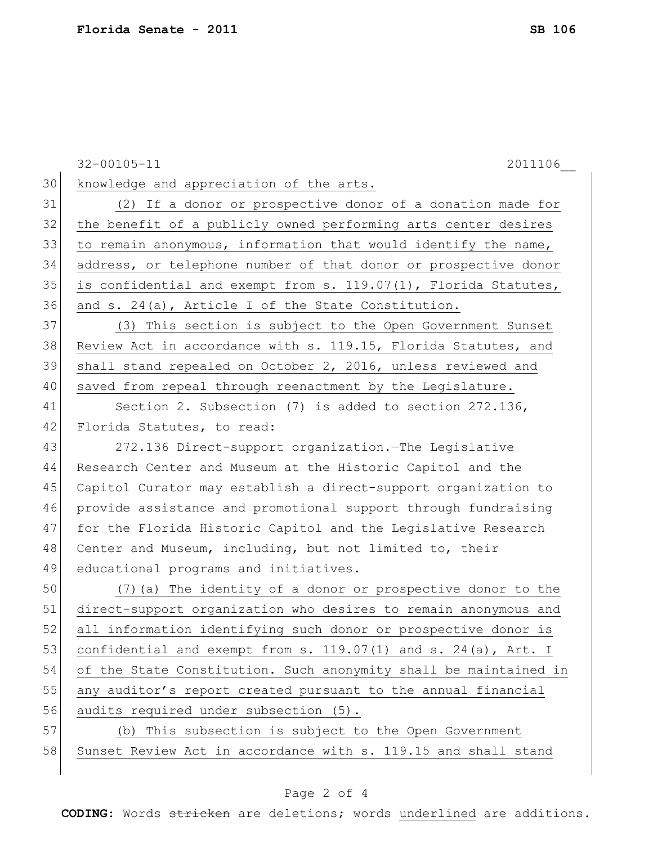32-00105-11 2011106\_\_ 30 knowledge and appreciation of the arts. 31 (2) If a donor or prospective donor of a donation made for 32 the benefit of a publicly owned performing arts center desires 33 to remain anonymous, information that would identify the name, 34 address, or telephone number of that donor or prospective donor 35 is confidential and exempt from s. 119.07(1), Florida Statutes, 36 and s. 24(a), Article I of the State Constitution. 37 (3) This section is subject to the Open Government Sunset 38 Review Act in accordance with s. 119.15, Florida Statutes, and 39 shall stand repealed on October 2, 2016, unless reviewed and 40 saved from repeal through reenactment by the Legislature. 41 Section 2. Subsection (7) is added to section 272.136, 42 Florida Statutes, to read: 43 272.136 Direct-support organization.—The Legislative 44 Research Center and Museum at the Historic Capitol and the 45 Capitol Curator may establish a direct-support organization to 46 provide assistance and promotional support through fundraising 47 for the Florida Historic Capitol and the Legislative Research 48 Center and Museum, including, but not limited to, their 49 educational programs and initiatives. 50 (7)(a) The identity of a donor or prospective donor to the 51 direct-support organization who desires to remain anonymous and 52 all information identifying such donor or prospective donor is 53 confidential and exempt from s.  $119.07(1)$  and s.  $24(a)$ , Art. I 54 of the State Constitution. Such anonymity shall be maintained in 55 any auditor's report created pursuant to the annual financial 56 audits required under subsection (5).

57 (b) This subsection is subject to the Open Government 58 Sunset Review Act in accordance with s. 119.15 and shall stand

## Page 2 of 4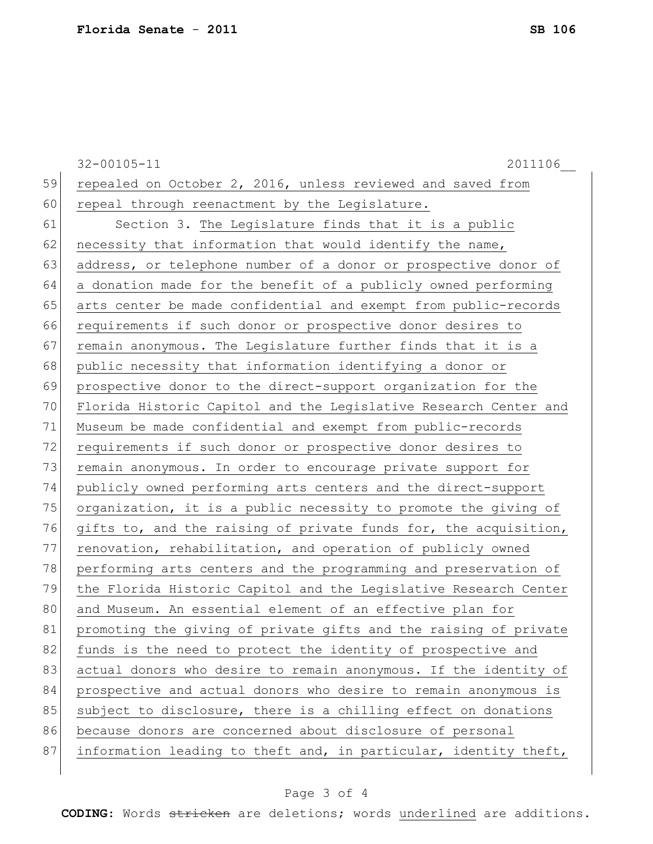32-00105-11 2011106\_\_ 59 repealed on October 2, 2016, unless reviewed and saved from 60 repeal through reenactment by the Legislature. 61 Section 3. The Legislature finds that it is a public 62 necessity that information that would identify the name, 63 address, or telephone number of a donor or prospective donor of 64 a donation made for the benefit of a publicly owned performing 65 arts center be made confidential and exempt from public-records 66 requirements if such donor or prospective donor desires to 67 remain anonymous. The Legislature further finds that it is a 68 public necessity that information identifying a donor or 69 prospective donor to the direct-support organization for the 70 Florida Historic Capitol and the Legislative Research Center and 71 Museum be made confidential and exempt from public-records 72 requirements if such donor or prospective donor desires to 73 remain anonymous. In order to encourage private support for 74 publicly owned performing arts centers and the direct-support 75 organization, it is a public necessity to promote the giving of 76 gifts to, and the raising of private funds for, the acquisition, 77 renovation, rehabilitation, and operation of publicly owned 78 performing arts centers and the programming and preservation of 79 the Florida Historic Capitol and the Legislative Research Center 80 and Museum. An essential element of an effective plan for 81 promoting the giving of private gifts and the raising of private 82 funds is the need to protect the identity of prospective and 83 actual donors who desire to remain anonymous. If the identity of 84 prospective and actual donors who desire to remain anonymous is 85 subject to disclosure, there is a chilling effect on donations 86 because donors are concerned about disclosure of personal 87 information leading to theft and, in particular, identity theft,